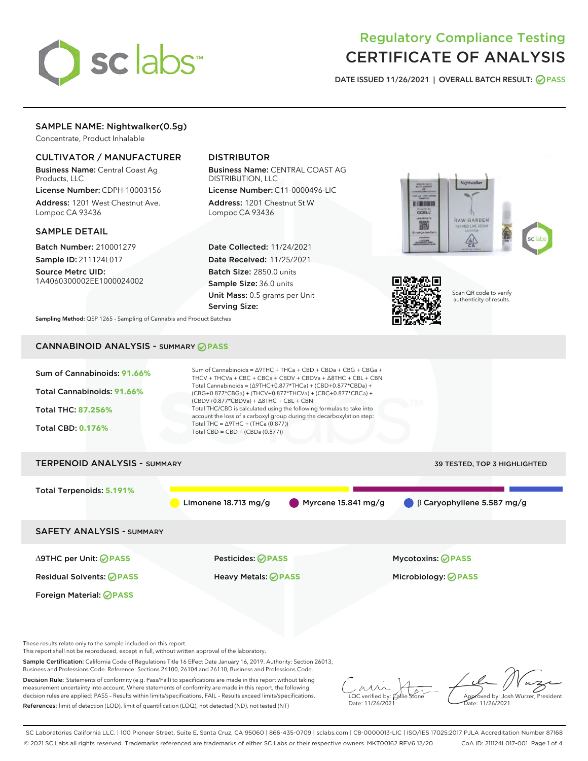

# Regulatory Compliance Testing CERTIFICATE OF ANALYSIS

DATE ISSUED 11/26/2021 | OVERALL BATCH RESULT: @ PASS

## SAMPLE NAME: Nightwalker(0.5g)

Concentrate, Product Inhalable

## CULTIVATOR / MANUFACTURER

Business Name: Central Coast Ag Products, LLC

License Number: CDPH-10003156 Address: 1201 West Chestnut Ave. Lompoc CA 93436

#### SAMPLE DETAIL

Batch Number: 210001279 Sample ID: 211124L017

Source Metrc UID: 1A4060300002EE1000024002

## DISTRIBUTOR

Business Name: CENTRAL COAST AG DISTRIBUTION, LLC License Number: C11-0000496-LIC

Address: 1201 Chestnut St W Lompoc CA 93436

Date Collected: 11/24/2021 Date Received: 11/25/2021 Batch Size: 2850.0 units Sample Size: 36.0 units Unit Mass: 0.5 grams per Unit Serving Size:





Scan QR code to verify authenticity of results.

Sampling Method: QSP 1265 - Sampling of Cannabis and Product Batches

## CANNABINOID ANALYSIS - SUMMARY **PASS**



This report shall not be reproduced, except in full, without written approval of the laboratory.

Sample Certification: California Code of Regulations Title 16 Effect Date January 16, 2019. Authority: Section 26013, Business and Professions Code. Reference: Sections 26100, 26104 and 26110, Business and Professions Code.

Decision Rule: Statements of conformity (e.g. Pass/Fail) to specifications are made in this report without taking measurement uncertainty into account. Where statements of conformity are made in this report, the following decision rules are applied: PASS – Results within limits/specifications, FAIL – Results exceed limits/specifications. References: limit of detection (LOD), limit of quantification (LOQ), not detected (ND), not tested (NT)

 $\overline{\text{C}}$  verified by:  $\mathcal C$ Date: 11/26/2021

Approved by: Josh Wurzer, President ate: 11/26/2021

SC Laboratories California LLC. | 100 Pioneer Street, Suite E, Santa Cruz, CA 95060 | 866-435-0709 | sclabs.com | C8-0000013-LIC | ISO/IES 17025:2017 PJLA Accreditation Number 87168 © 2021 SC Labs all rights reserved. Trademarks referenced are trademarks of either SC Labs or their respective owners. MKT00162 REV6 12/20 CoA ID: 211124L017-001 Page 1 of 4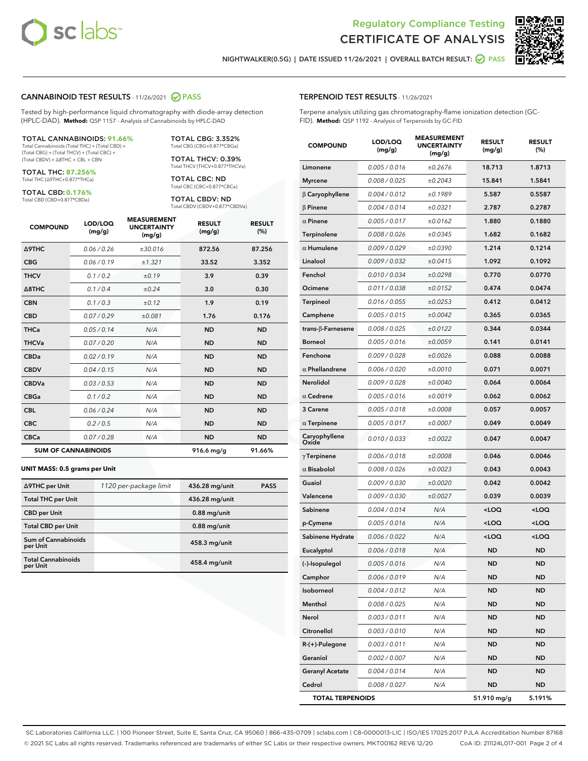

Terpene analysis utilizing gas chromatography-flame ionization detection (GC-



NIGHTWALKER(0.5G) | DATE ISSUED 11/26/2021 | OVERALL BATCH RESULT: ● PASS

TERPENOID TEST RESULTS - 11/26/2021

FID). **Method:** QSP 1192 - Analysis of Terpenoids by GC-FID

#### CANNABINOID TEST RESULTS - 11/26/2021 2 PASS

Tested by high-performance liquid chromatography with diode-array detection (HPLC-DAD). **Method:** QSP 1157 - Analysis of Cannabinoids by HPLC-DAD

#### TOTAL CANNABINOIDS: **91.66%**

Total Cannabinoids (Total THC) + (Total CBD) + (Total CBG) + (Total THCV) + (Total CBC) + (Total CBDV) + ∆8THC + CBL + CBN

TOTAL THC: **87.256%** Total THC (∆9THC+0.877\*THCa)

TOTAL CBD: **0.176%**

Total CBD (CBD+0.877\*CBDa)

TOTAL CBG: 3.352% Total CBG (CBG+0.877\*CBGa)

TOTAL THCV: 0.39% Total THCV (THCV+0.877\*THCVa)

TOTAL CBC: ND Total CBC (CBC+0.877\*CBCa)

TOTAL CBDV: ND Total CBDV (CBDV+0.877\*CBDVa)

| <b>COMPOUND</b>  | LOD/LOQ<br>(mg/g)          | <b>MEASUREMENT</b><br><b>UNCERTAINTY</b><br>(mg/g) | <b>RESULT</b><br>(mg/g) | <b>RESULT</b><br>(%) |
|------------------|----------------------------|----------------------------------------------------|-------------------------|----------------------|
| <b>A9THC</b>     | 0.06 / 0.26                | ±30.016                                            | 872.56                  | 87.256               |
| <b>CBG</b>       | 0.06/0.19                  | ±1.321                                             | 33.52                   | 3.352                |
| <b>THCV</b>      | 0.1/0.2                    | ±0.19                                              | 3.9                     | 0.39                 |
| $\triangle$ 8THC | 0.1/0.4                    | ±0.24                                              | 3.0                     | 0.30                 |
| <b>CBN</b>       | 0.1/0.3                    | ±0.12                                              | 1.9                     | 0.19                 |
| <b>CBD</b>       | 0.07/0.29                  | ±0.081                                             | 1.76                    | 0.176                |
| <b>THCa</b>      | 0.05 / 0.14                | N/A                                                | <b>ND</b>               | <b>ND</b>            |
| <b>THCVa</b>     | 0.07/0.20                  | N/A                                                | <b>ND</b>               | <b>ND</b>            |
| <b>CBDa</b>      | 0.02 / 0.19                | N/A                                                | <b>ND</b>               | <b>ND</b>            |
| <b>CBDV</b>      | 0.04 / 0.15                | N/A                                                | <b>ND</b>               | <b>ND</b>            |
| <b>CBDVa</b>     | 0.03/0.53                  | N/A                                                | <b>ND</b>               | <b>ND</b>            |
| <b>CBGa</b>      | 0.1 / 0.2                  | N/A                                                | <b>ND</b>               | <b>ND</b>            |
| <b>CBL</b>       | 0.06 / 0.24                | N/A                                                | <b>ND</b>               | <b>ND</b>            |
| <b>CBC</b>       | 0.2 / 0.5                  | N/A                                                | <b>ND</b>               | <b>ND</b>            |
| <b>CBCa</b>      | 0.07 / 0.28                | N/A                                                | <b>ND</b>               | <b>ND</b>            |
|                  | <b>SUM OF CANNABINOIDS</b> |                                                    | 916.6 mg/g              | 91.66%               |

#### **UNIT MASS: 0.5 grams per Unit**

| ∆9THC per Unit                        | 1120 per-package limit | 436.28 mg/unit | <b>PASS</b> |
|---------------------------------------|------------------------|----------------|-------------|
| <b>Total THC per Unit</b>             |                        | 436.28 mg/unit |             |
| <b>CBD per Unit</b>                   |                        | $0.88$ mg/unit |             |
| <b>Total CBD per Unit</b>             |                        | $0.88$ mg/unit |             |
| Sum of Cannabinoids<br>per Unit       |                        | 458.3 mg/unit  |             |
| <b>Total Cannabinoids</b><br>per Unit |                        | 458.4 mg/unit  |             |

## COMPOUND LOD/LOQ (mg/g) MEASUREMENT UNCERTAINTY (mg/g) RESULT (mg/g) RESULT (%) Limonene 0.005/0.016 ±0.2676 18.713 1.8713 Myrcene 0.008 / 0.025  $\pm 0.2043$  15.841 1.5841 β Caryophyllene 0.004 / 0.012 ± 0.1989 5.587 0.5587  $β$  Pinene  $0.004 / 0.014$   $± 0.0321$  2.787 0.2787  $\alpha$  Pinene  $0.005 / 0.017$   $\pm 0.0162$  1.880 0.1880 Terpinolene  $0.008 / 0.026$   $\pm 0.0345$  1.682 0.1682  $α$  Humulene  $0.009 / 0.029$   $± 0.0390$  1.214 0.1214 Linalool 0.009/0.032  $\pm 0.0415$  1.092 0.1092 Fenchol 0.010 / 0.034 ± 0.0298 0.770 0.0770 **Ocimene** 0.011/0.038  $\pm 0.0152$  **0.474 0.0474** Terpineol 0.016/0.055  $\pm 0.0253$  0.412 0.0412 Camphene  $0.005 / 0.015$   $\pm 0.0042$  0.365 0.0365 trans-β-Farnesene 0.008 / 0.025 ± 0.0122 0.344 0.0344 Borneol 0.005/0.016 ±0.0059 0.141 0.0141 Fenchone  $0.009 / 0.028$   $\pm 0.0026$  0.088 0.0088 α Phellandrene 0.006 / 0.020 ± 0.0010 0.071 0.0071 Nerolidol 0.009 / 0.028  $\pm 0.0040$  0.064 0.0064  $\alpha$  Cedrene  $0.005 / 0.016$   $\pm 0.0019$  0.062 0.0062 3 Carene 0.005 / 0.018 ± 0.0008 0.057 0.0057 α Terpinene  $0.005 / 0.017$   $± 0.0007$  0.049 0.0049 Caryophyllene Oxide 0.010 / 0.033 ± 0.0022 0.047 0.0047  $γ$ Terpinene  $0.006 / 0.018$   $± 0.0008$  0.046 0.0046  $α$  Bisabolol  $0.008 / 0.026$   $± 0.0023$  0.043 0.0043 Guaiol  $0.009 / 0.030 + 0.0020$  0.042 0.0042 Valencene 0.009 / 0.030 ± 0.0027 0.039 0.0039 Sabinene 0.004 / 0.014 N/A <LOQ <LOQ p-Cymene 0.005 / 0.016 N/A <LOQ <LOQ Sabinene Hydrate  $0.006 / 0.022$   $N/A$  <LOQ <LOQ **Eucalyptol 0.006 / 0.018 N/A ND ND** (-)-Isopulegol 0.005 / 0.016 N/A ND ND **Camphor** 0.006/0.019 N/A ND ND Isoborneol 0.004 / 0.012 N/A ND ND Menthol 0.008 / 0.025 N/A ND ND Nerol 0.003/0.011 N/A ND ND Citronellol 0.003/0.010 N/A ND ND R-(+)-Pulegone 0.003 / 0.011 N/A ND ND **Geraniol 0.002 / 0.007 N/A ND ND** Geranyl Acetate  $0.004 / 0.014$  N/A ND ND

Cedrol 0.008 / 0.027 N/A ND ND TOTAL TERPENOIDS 51.910 mg/g 5.191%

SC Laboratories California LLC. | 100 Pioneer Street, Suite E, Santa Cruz, CA 95060 | 866-435-0709 | sclabs.com | C8-0000013-LIC | ISO/IES 17025:2017 PJLA Accreditation Number 87168 © 2021 SC Labs all rights reserved. Trademarks referenced are trademarks of either SC Labs or their respective owners. MKT00162 REV6 12/20 CoA ID: 211124L017-001 Page 2 of 4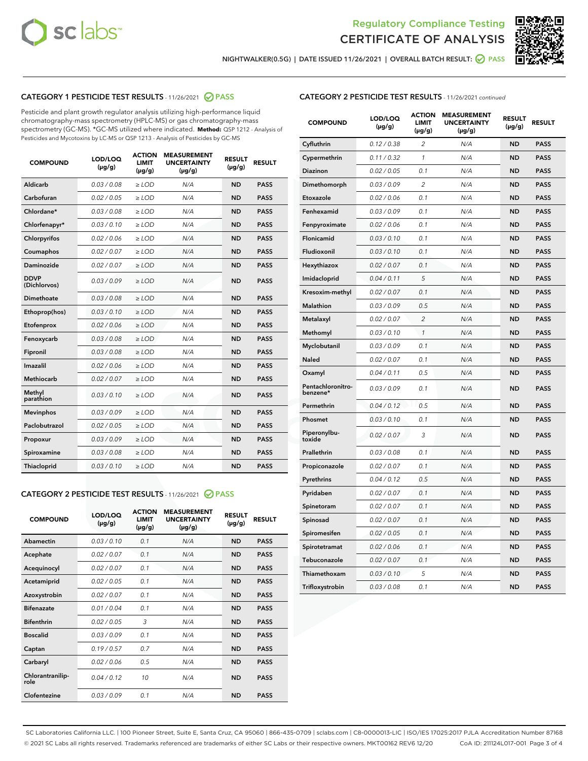



NIGHTWALKER(0.5G) | DATE ISSUED 11/26/2021 | OVERALL BATCH RESULT: **○** PASS

## CATEGORY 1 PESTICIDE TEST RESULTS - 11/26/2021 2 PASS

Pesticide and plant growth regulator analysis utilizing high-performance liquid chromatography-mass spectrometry (HPLC-MS) or gas chromatography-mass spectrometry (GC-MS). \*GC-MS utilized where indicated. **Method:** QSP 1212 - Analysis of Pesticides and Mycotoxins by LC-MS or QSP 1213 - Analysis of Pesticides by GC-MS

| <b>COMPOUND</b>             | LOD/LOQ<br>$(\mu g/g)$ | <b>ACTION</b><br><b>LIMIT</b><br>$(\mu g/g)$ | <b>MEASUREMENT</b><br><b>UNCERTAINTY</b><br>$(\mu g/g)$ | <b>RESULT</b><br>$(\mu g/g)$ | <b>RESULT</b> |
|-----------------------------|------------------------|----------------------------------------------|---------------------------------------------------------|------------------------------|---------------|
| Aldicarb                    | 0.03 / 0.08            | $\ge$ LOD                                    | N/A                                                     | <b>ND</b>                    | <b>PASS</b>   |
| Carbofuran                  | 0.02/0.05              | $>$ LOD                                      | N/A                                                     | <b>ND</b>                    | <b>PASS</b>   |
| Chlordane*                  | 0.03 / 0.08            | $\geq$ LOD                                   | N/A                                                     | <b>ND</b>                    | <b>PASS</b>   |
| Chlorfenapyr*               | 0.03/0.10              | $\geq$ LOD                                   | N/A                                                     | <b>ND</b>                    | <b>PASS</b>   |
| Chlorpyrifos                | 0.02 / 0.06            | $\ge$ LOD                                    | N/A                                                     | <b>ND</b>                    | <b>PASS</b>   |
| Coumaphos                   | 0.02 / 0.07            | $\ge$ LOD                                    | N/A                                                     | <b>ND</b>                    | <b>PASS</b>   |
| Daminozide                  | 0.02/0.07              | $>$ LOD                                      | N/A                                                     | <b>ND</b>                    | <b>PASS</b>   |
| <b>DDVP</b><br>(Dichlorvos) | 0.03/0.09              | $\ge$ LOD                                    | N/A                                                     | <b>ND</b>                    | <b>PASS</b>   |
| Dimethoate                  | 0.03 / 0.08            | $\ge$ LOD                                    | N/A                                                     | <b>ND</b>                    | <b>PASS</b>   |
| Ethoprop(hos)               | 0.03/0.10              | $>$ LOD                                      | N/A                                                     | <b>ND</b>                    | <b>PASS</b>   |
| Etofenprox                  | 0.02 / 0.06            | $\ge$ LOD                                    | N/A                                                     | <b>ND</b>                    | <b>PASS</b>   |
| Fenoxycarb                  | 0.03 / 0.08            | $\ge$ LOD                                    | N/A                                                     | <b>ND</b>                    | <b>PASS</b>   |
| Fipronil                    | 0.03/0.08              | $\ge$ LOD                                    | N/A                                                     | <b>ND</b>                    | <b>PASS</b>   |
| Imazalil                    | 0.02 / 0.06            | $\ge$ LOD                                    | N/A                                                     | <b>ND</b>                    | <b>PASS</b>   |
| <b>Methiocarb</b>           | 0.02 / 0.07            | $\ge$ LOD                                    | N/A                                                     | <b>ND</b>                    | <b>PASS</b>   |
| Methyl<br>parathion         | 0.03/0.10              | $\ge$ LOD                                    | N/A                                                     | <b>ND</b>                    | <b>PASS</b>   |
| <b>Mevinphos</b>            | 0.03/0.09              | $>$ LOD                                      | N/A                                                     | <b>ND</b>                    | <b>PASS</b>   |
| Paclobutrazol               | 0.02 / 0.05            | $\ge$ LOD                                    | N/A                                                     | <b>ND</b>                    | <b>PASS</b>   |
| Propoxur                    | 0.03/0.09              | $\ge$ LOD                                    | N/A                                                     | <b>ND</b>                    | <b>PASS</b>   |
| Spiroxamine                 | 0.03 / 0.08            | $\ge$ LOD                                    | N/A                                                     | <b>ND</b>                    | <b>PASS</b>   |
| Thiacloprid                 | 0.03/0.10              | $\ge$ LOD                                    | N/A                                                     | <b>ND</b>                    | <b>PASS</b>   |

#### CATEGORY 2 PESTICIDE TEST RESULTS - 11/26/2021 @ PASS

| <b>COMPOUND</b>          | LOD/LOO<br>$(\mu g/g)$ | <b>ACTION</b><br>LIMIT<br>$(\mu g/g)$ | <b>MEASUREMENT</b><br><b>UNCERTAINTY</b><br>$(\mu g/g)$ | <b>RESULT</b><br>$(\mu g/g)$ | <b>RESULT</b> |  |
|--------------------------|------------------------|---------------------------------------|---------------------------------------------------------|------------------------------|---------------|--|
| Abamectin                | 0.03/0.10              | 0.1                                   | N/A                                                     | <b>ND</b>                    | <b>PASS</b>   |  |
| Acephate                 | 0.02/0.07              | 0.1                                   | N/A                                                     | <b>ND</b>                    | <b>PASS</b>   |  |
| Acequinocyl              | 0.02/0.07              | 0.1                                   | N/A                                                     | <b>ND</b>                    | <b>PASS</b>   |  |
| Acetamiprid              | 0.02 / 0.05            | 0.1                                   | N/A                                                     | <b>ND</b>                    | <b>PASS</b>   |  |
| Azoxystrobin             | 0.02/0.07              | 0.1                                   | N/A                                                     | <b>ND</b>                    | <b>PASS</b>   |  |
| <b>Bifenazate</b>        | 0.01 / 0.04            | 0.1                                   | N/A                                                     | <b>ND</b>                    | <b>PASS</b>   |  |
| <b>Bifenthrin</b>        | 0.02 / 0.05            | 3                                     | N/A                                                     | <b>ND</b>                    | <b>PASS</b>   |  |
| <b>Boscalid</b>          | 0.03/0.09              | 0.1                                   | N/A                                                     | <b>ND</b>                    | <b>PASS</b>   |  |
| Captan                   | 0.19/0.57              | 0.7                                   | N/A                                                     | <b>ND</b>                    | <b>PASS</b>   |  |
| Carbaryl                 | 0.02/0.06              | 0.5                                   | N/A                                                     | <b>ND</b>                    | <b>PASS</b>   |  |
| Chlorantranilip-<br>role | 0.04/0.12              | 10                                    | N/A                                                     | <b>ND</b>                    | <b>PASS</b>   |  |
| Clofentezine             | 0.03/0.09              | 0.1                                   | N/A                                                     | <b>ND</b>                    | <b>PASS</b>   |  |

## CATEGORY 2 PESTICIDE TEST RESULTS - 11/26/2021 continued

| <b>COMPOUND</b>               | LOD/LOQ<br>(µg/g) | <b>ACTION</b><br><b>LIMIT</b><br>$(\mu g/g)$ | <b>MEASUREMENT</b><br><b>UNCERTAINTY</b><br>$(\mu g/g)$ | <b>RESULT</b><br>(µg/g) | <b>RESULT</b> |
|-------------------------------|-------------------|----------------------------------------------|---------------------------------------------------------|-------------------------|---------------|
| Cyfluthrin                    | 0.12 / 0.38       | $\overline{c}$                               | N/A                                                     | ND                      | <b>PASS</b>   |
| Cypermethrin                  | 0.11 / 0.32       | $\mathcal{I}$                                | N/A                                                     | ND                      | <b>PASS</b>   |
| Diazinon                      | 0.02 / 0.05       | 0.1                                          | N/A                                                     | <b>ND</b>               | <b>PASS</b>   |
| Dimethomorph                  | 0.03 / 0.09       | 2                                            | N/A                                                     | ND                      | <b>PASS</b>   |
| Etoxazole                     | 0.02 / 0.06       | 0.1                                          | N/A                                                     | ND                      | <b>PASS</b>   |
| Fenhexamid                    | 0.03 / 0.09       | 0.1                                          | N/A                                                     | <b>ND</b>               | <b>PASS</b>   |
| Fenpyroximate                 | 0.02 / 0.06       | 0.1                                          | N/A                                                     | ND                      | <b>PASS</b>   |
| Flonicamid                    | 0.03 / 0.10       | 0.1                                          | N/A                                                     | ND                      | <b>PASS</b>   |
| Fludioxonil                   | 0.03 / 0.10       | 0.1                                          | N/A                                                     | <b>ND</b>               | <b>PASS</b>   |
| Hexythiazox                   | 0.02 / 0.07       | 0.1                                          | N/A                                                     | <b>ND</b>               | <b>PASS</b>   |
| Imidacloprid                  | 0.04 / 0.11       | 5                                            | N/A                                                     | ND                      | <b>PASS</b>   |
| Kresoxim-methyl               | 0.02 / 0.07       | 0.1                                          | N/A                                                     | <b>ND</b>               | <b>PASS</b>   |
| Malathion                     | 0.03 / 0.09       | 0.5                                          | N/A                                                     | ND                      | <b>PASS</b>   |
| Metalaxyl                     | 0.02 / 0.07       | $\overline{c}$                               | N/A                                                     | ND                      | PASS          |
| Methomyl                      | 0.03 / 0.10       | 1                                            | N/A                                                     | <b>ND</b>               | <b>PASS</b>   |
| Myclobutanil                  | 0.03 / 0.09       | 0.1                                          | N/A                                                     | ND                      | PASS          |
| Naled                         | 0.02 / 0.07       | 0.1                                          | N/A                                                     | ND                      | PASS          |
| Oxamyl                        | 0.04 / 0.11       | 0.5                                          | N/A                                                     | ND                      | <b>PASS</b>   |
| Pentachloronitro-<br>benzene* | 0.03 / 0.09       | 0.1                                          | N/A                                                     | ND                      | PASS          |
| Permethrin                    | 0.04 / 0.12       | 0.5                                          | N/A                                                     | <b>ND</b>               | <b>PASS</b>   |
| Phosmet                       | 0.03 / 0.10       | 0.1                                          | N/A                                                     | ND                      | <b>PASS</b>   |
| Piperonylbu-<br>toxide        | 0.02 / 0.07       | 3                                            | N/A                                                     | ND                      | <b>PASS</b>   |
| Prallethrin                   | 0.03 / 0.08       | 0.1                                          | N/A                                                     | ND                      | <b>PASS</b>   |
| Propiconazole                 | 0.02 / 0.07       | 0.1                                          | N/A                                                     | ND                      | <b>PASS</b>   |
| Pyrethrins                    | 0.04 / 0.12       | 0.5                                          | N/A                                                     | <b>ND</b>               | <b>PASS</b>   |
| Pyridaben                     | 0.02 / 0.07       | 0.1                                          | N/A                                                     | ND                      | PASS          |
| Spinetoram                    | 0.02 / 0.07       | 0.1                                          | N/A                                                     | ND                      | PASS          |
| Spinosad                      | 0.02 / 0.07       | 0.1                                          | N/A                                                     | <b>ND</b>               | <b>PASS</b>   |
| Spiromesifen                  | 0.02 / 0.05       | 0.1                                          | N/A                                                     | ND                      | PASS          |
| Spirotetramat                 | 0.02 / 0.06       | 0.1                                          | N/A                                                     | ND                      | <b>PASS</b>   |
| Tebuconazole                  | 0.02 / 0.07       | 0.1                                          | N/A                                                     | ND                      | <b>PASS</b>   |
| Thiamethoxam                  | 0.03 / 0.10       | 5                                            | N/A                                                     | ND                      | <b>PASS</b>   |
| Trifloxystrobin               | 0.03 / 0.08       | 0.1                                          | N/A                                                     | <b>ND</b>               | <b>PASS</b>   |

SC Laboratories California LLC. | 100 Pioneer Street, Suite E, Santa Cruz, CA 95060 | 866-435-0709 | sclabs.com | C8-0000013-LIC | ISO/IES 17025:2017 PJLA Accreditation Number 87168 © 2021 SC Labs all rights reserved. Trademarks referenced are trademarks of either SC Labs or their respective owners. MKT00162 REV6 12/20 CoA ID: 211124L017-001 Page 3 of 4